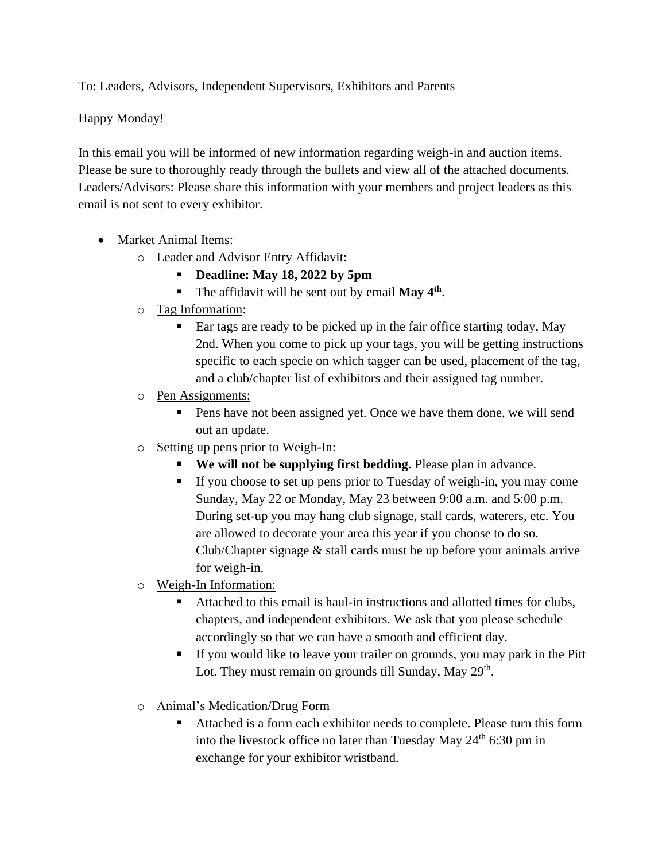To: Leaders, Advisors, Independent Supervisors, Exhibitors and Parents

Happy Monday!

In this email you will be informed of new information regarding weigh-in and auction items. Please be sure to thoroughly ready through the bullets and view all of the attached documents. Leaders/Advisors: Please share this information with your members and project leaders as this email is not sent to every exhibitor.

- Market Animal Items:
	- o Leader and Advisor Entry Affidavit:
		- **Deadline: May 18, 2022 by 5pm**
		- The affidavit will be sent out by email May 4<sup>th</sup>.
	- o Tag Information:
		- Ear tags are ready to be picked up in the fair office starting today, May 2nd. When you come to pick up your tags, you will be getting instructions specific to each specie on which tagger can be used, placement of the tag, and a club/chapter list of exhibitors and their assigned tag number.
	- o Pen Assignments:
		- Pens have not been assigned yet. Once we have them done, we will send out an update.
	- o Setting up pens prior to Weigh-In:
		- **We will not be supplying first bedding.** Please plan in advance.
		- If you choose to set up pens prior to Tuesday of weigh-in, you may come Sunday, May 22 or Monday, May 23 between 9:00 a.m. and 5:00 p.m. During set-up you may hang club signage, stall cards, waterers, etc. You are allowed to decorate your area this year if you choose to do so. Club/Chapter signage & stall cards must be up before your animals arrive for weigh-in.
	- o Weigh-In Information:
		- Attached to this email is haul-in instructions and allotted times for clubs, chapters, and independent exhibitors. We ask that you please schedule accordingly so that we can have a smooth and efficient day.
		- If you would like to leave your trailer on grounds, you may park in the Pitt Lot. They must remain on grounds till Sunday, May 29<sup>th</sup>.
	- o Animal's Medication/Drug Form
		- Attached is a form each exhibitor needs to complete. Please turn this form into the livestock office no later than Tuesday May  $24<sup>th</sup>$  6:30 pm in exchange for your exhibitor wristband.